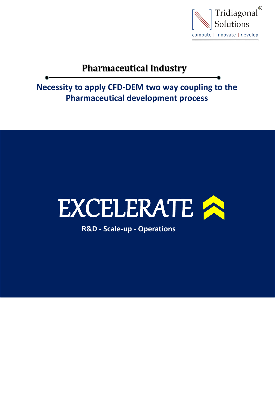

# **Pharmaceutical Industry**

**Necessity to apply CFD-DEM two way coupling to the Pharmaceutical development process**



**R&D - Scale-up - Operations**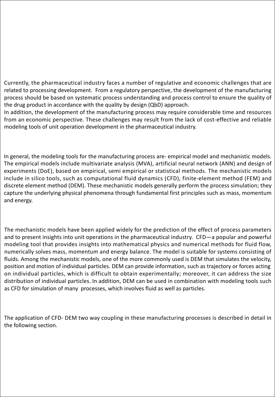Currently, the pharmaceutical industry faces a number of regulative and economic challenges that are related to processing development. From a regulatory perspective, the development of the manufacturing process should be based on systematic process understanding and process control to ensure the quality of the drug product in accordance with the quality by design (QbD) approach.

In addition, the development of the manufacturing process may require considerable time and resources from an economic perspective. These challenges may result from the lack of cost-effective and reliable modeling tools of unit operation development in the pharmaceutical industry.

In general, the modeling tools for the manufacturing process are- empirical model and mechanistic models. The empirical models include multivariate analysis (MVA), artificial neural network (ANN) and design of experiments (DoE), based on empirical, semi empirical or statistical methods. The mechanistic models include in silico tools, such as computational fluid dynamics (CFD), finite-element method (FEM) and discrete element method (DEM). These mechanistic models generally perform the process simulation; they capture the underlying physical phenomena through fundamental first principles such as mass, momentum and energy.

The mechanistic models have been applied widely for the prediction of the effect of process parameters and to present insights into unit operations in the pharmaceutical industry. CFD—a popular and powerful modeling tool that provides insights into mathematical physics and numerical methods for fluid flow, numerically solves mass, momentum and energy balance. The model is suitable for systems consisting of fluids. Among the mechanistic models, one of the more commonly used is DEM that simulates the velocity, position and motion of individual particles. DEM can provide information, such as trajectory or forces acting on individual particles, which is difficult to obtain experimentally; moreover, it can address the size distribution of individual particles. In addition, DEM can be used in combination with modeling tools such as CFD for simulation of many processes, which involves fluid as well as particles.

The application of CFD- DEM two way coupling in these manufacturing processes is described in detail in the following section.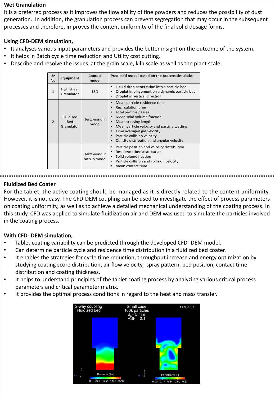## **Wet Granulation**

It is a preferred process as it improves the flow ability of fine powders and reduces the possibility of dust generation. In addition, the granulation process can prevent segregation that may occur in the subsequent processes and therefore, improves the content uniformity of the final solid dosage forms.

#### **Using CFD-DEM simulation,**

- It analyses various input parameters and provides the better insight on the outcome of the system.
- It helps in Batch cycle time reduction and Utility cost cutting.
- Describe and resolve the issues at the grain scale, kiln scale as well as the plant scale.

| Sr<br><b>No</b> | Equipment                             | Contact<br>model               | Predicted model based on the process simulation                                                                                                                                                                                                                                                                                                                                                                        |
|-----------------|---------------------------------------|--------------------------------|------------------------------------------------------------------------------------------------------------------------------------------------------------------------------------------------------------------------------------------------------------------------------------------------------------------------------------------------------------------------------------------------------------------------|
| 1               | High Shear<br>Granulator              | <b>LSD</b>                     | Liquid drop penetration into a particle bed<br>$\bullet$<br>Droplet impingement on a dynamic particle bed<br>$\bullet$<br>Droplet in vertical direction                                                                                                                                                                                                                                                                |
| $\overline{2}$  | Fluidised<br><b>Bed</b><br>Granulator | Hertz-mindlin<br>model         | Mean particle residence time<br>$\bullet$<br><b>Recirculation time</b><br>$\bullet$<br>Total particle passes<br>$\bullet$<br>Mean solid volume fraction<br>$\bullet$<br>Mean crossing length<br>$\bullet$<br>Mean particle velocity and particle wetting<br>$\bullet$<br>Time averaged gas velocity<br>$\bullet$<br>Particle collision velocity<br>$\bullet$<br>Density distribution and angular velocity<br>$\bullet$ |
|                 |                                       | Hertz-mindlin<br>no slip model | Particle position and velocity distribution<br>٠<br>Residence time distribution<br>$\bullet$<br>Solid volume fraction<br>$\bullet$<br>Particle collision and collision velocity<br>$\bullet$<br>mean contact time.<br>٠                                                                                                                                                                                                |

## **Fluidized Bed Coater**

For the tablet, the active coating should be managed as it is directly related to the content uniformity. However, it is not easy. The CFD-DEM coupling can be used to investigate the effect of process parameters on coating uniformity, as well as to achieve a detailed mechanical understanding of the coating process. In this study, CFD was applied to simulate fluidization air and DEM was used to simulate the particles involved in the coating process.

## **With CFD- DEM simulation,**

- Tablet coating variability can be predicted through the developed CFD-DEM model.
- Can determine particle cycle and residence time distribution in a fluidized bed coater.
- It enables the strategies for cycle time reduction, throughput increase and energy optimization by studying coating score distribution, air flow velocity, spray pattern, bed position, contact time distribution and coating thickness.
- It helps to understand principles of the tablet coating process by analyzing various critical process parameters and critical parameter matrix.
- It provides the optimal process conditions in regard to the heat and mass transfer.